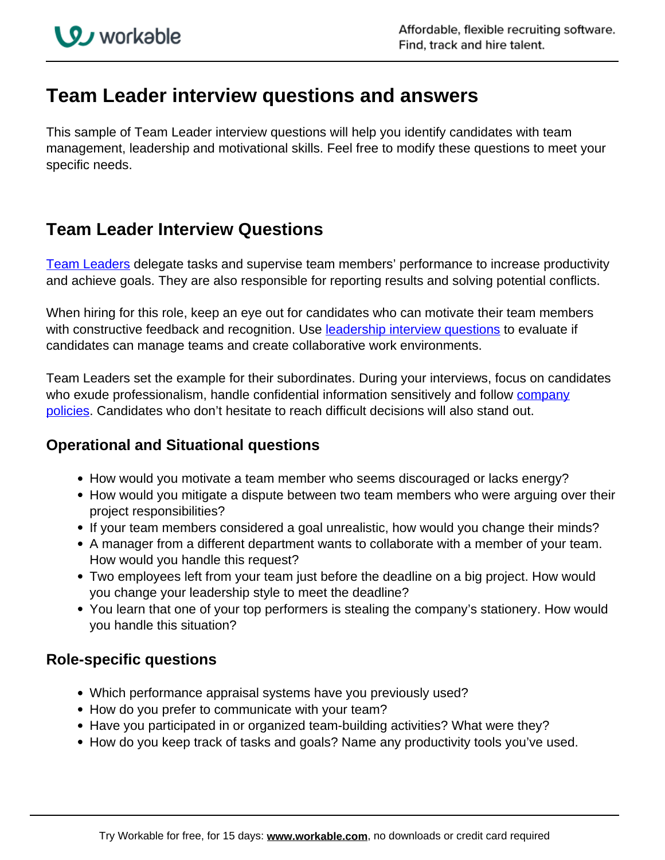# **Team Leader interview questions and answers**

This sample of Team Leader interview questions will help you identify candidates with team management, leadership and motivational skills. Feel free to modify these questions to meet your specific needs.

## **Team Leader Interview Questions**

[Team Leaders](http://resources.workable.com/team-leader-job-description) delegate tasks and supervise team members' performance to increase productivity and achieve goals. They are also responsible for reporting results and solving potential conflicts.

When hiring for this role, keep an eye out for candidates who can motivate their team members with constructive feedback and recognition. Use leadership interview questions to evaluate if candidates can manage teams and create collaborative work environments.

Team Leaders set the example for their subordinates. During your interviews, focus on candidates who exude professionalism, handle confidential information sensitively and follow company policies. Candidates who don't hesitate to reach difficult decisions will also stand out.

#### **Operational and Situational questions**

- How would you motivate a team member who seems discouraged or lacks energy?
- How would you mitigate a dispute between two team members who were arguing over their project responsibilities?
- If your team members considered a goal unrealistic, how would you change their minds?
- A manager from a different department wants to collaborate with a member of your team. How would you handle this request?
- Two employees left from your team just before the deadline on a big project. How would you change your leadership style to meet the deadline?
- You learn that one of your top performers is stealing the company's stationery. How would you handle this situation?

### **Role-specific questions**

- Which performance appraisal systems have you previously used?
- How do you prefer to communicate with your team?
- Have you participated in or organized team-building activities? What were they?
- How do you keep track of tasks and goals? Name any productivity tools you've used.